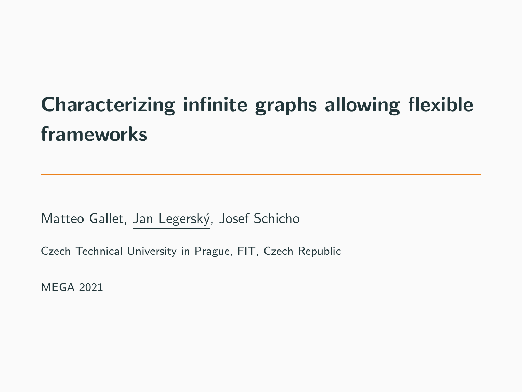# Characterizing infinite graphs allowing flexible frameworks

Matteo Gallet, Jan Legerský, Josef Schicho

Czech Technical University in Prague, FIT, Czech Republic

MEGA 2021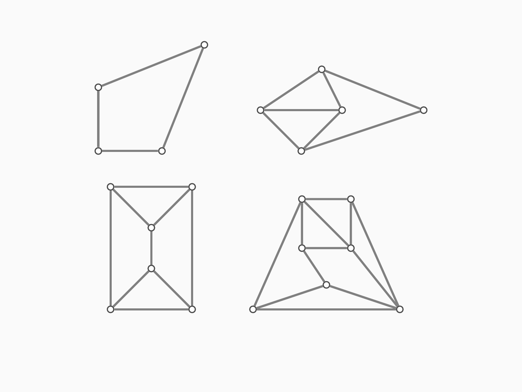



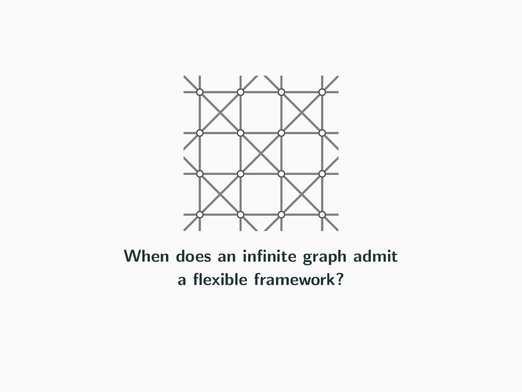

## When does an infinite graph admit a flexible framework?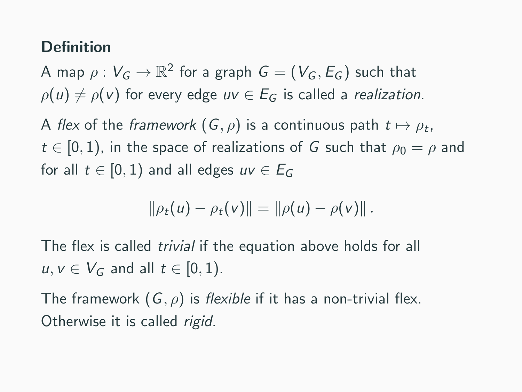#### **Definition**

A map  $\rho: V_G \to \mathbb{R}^2$  for a graph  $\mathit{G} = (\mathit{V}_G, E_G)$  such that  $\rho(u) \neq \rho(v)$  for every edge  $uv \in E_G$  is called a realization.

A *flex* of the *framework*  $(G,\rho)$  is a continuous path  $t\mapsto \rho_t,$  $t \in [0, 1)$ , in the space of realizations of G such that  $\rho_0 = \rho$  and for all  $t \in [0,1)$  and all edges  $uv \in E_G$ 

$$
\|\rho_t(u)-\rho_t(v)\| = \|\rho(u)-\rho(v)\|.
$$

The flex is called *trivial* if the equation above holds for all  $u, v \in V_G$  and all  $t \in [0, 1)$ .

The framework  $(G, \rho)$  is *flexible* if it has a non-trivial flex. Otherwise it is called *rigid*.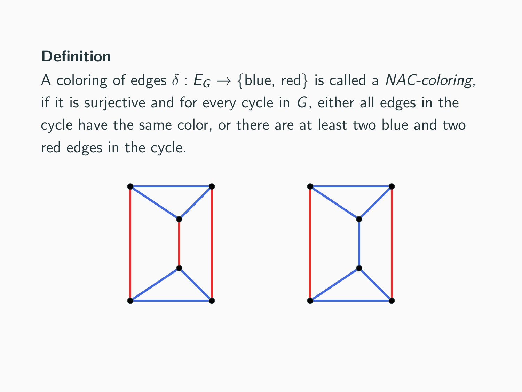#### Definition

A coloring of edges  $\delta : E_G \to \{\text{blue}, \text{ red}\}\$ is called a *NAC-coloring*, if it is surjective and for every cycle in  $G$ , either all edges in the cycle have the same color, or there are at least two blue and two red edges in the cycle.

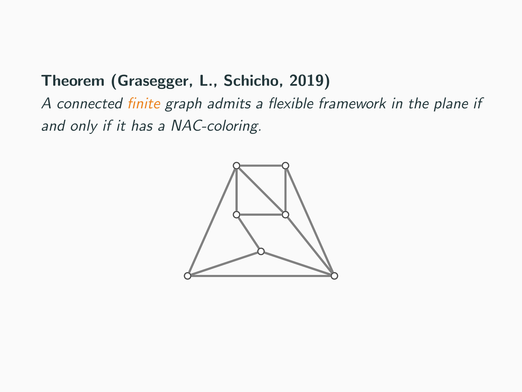#### Theorem (Grasegger, L., Schicho, 2019)

A connected finite graph admits a flexible framework in the plane if and only if it has a NAC-coloring.

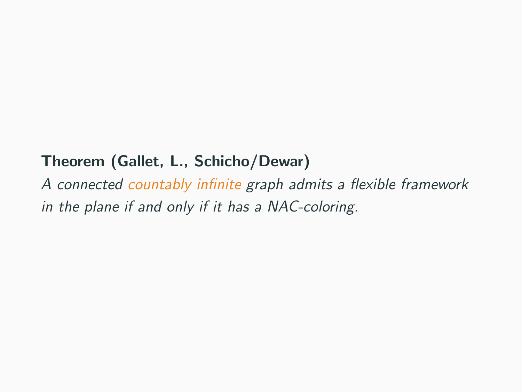#### Theorem (Gallet, L., Schicho/Dewar)

A connected countably infinite graph admits a flexible framework in the plane if and only if it has a NAC-coloring.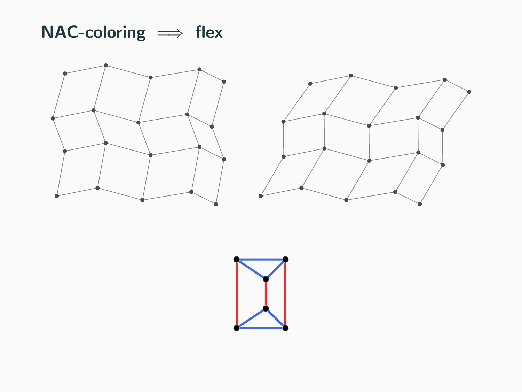NAC-coloring  $\implies$  flex



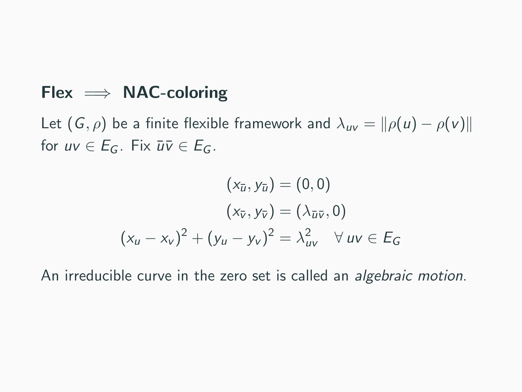#### $Flex \implies NAC$ -coloring

Let  $(G, \rho)$  be a finite flexible framework and  $\lambda_{uv} = ||\rho(u) - \rho(v)||$ for  $uv \in E_G$ . Fix  $\overline{uv} \in E_G$ .

$$
(x_{\bar{u}}, y_{\bar{u}}) = (0, 0)
$$
  

$$
(x_{\bar{v}}, y_{\bar{v}}) = (\lambda_{\bar{u}\bar{v}}, 0)
$$
  

$$
(x_u - x_v)^2 + (y_u - y_v)^2 = \lambda_{uv}^2 \quad \forall \ uv \in E_G
$$

An irreducible curve in the zero set is called an algebraic motion.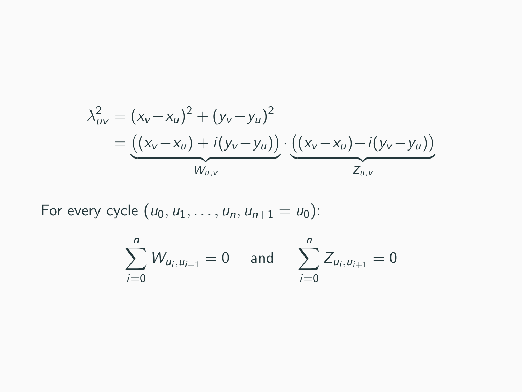$$
\lambda_{uv}^2 = (x_v - x_u)^2 + (y_v - y_u)^2
$$
  
= 
$$
\underbrace{((x_v - x_u) + i(y_v - y_u))}_{W_{u,v}} \cdot \underbrace{((x_v - x_u) - i(y_v - y_u))}_{Z_{u,v}}
$$

For every cycle  $(u_0, u_1, \ldots, u_n, u_{n+1} = u_0)$ :

$$
\sum_{i=0}^{n} W_{u_i, u_{i+1}} = 0 \quad \text{ and } \quad \sum_{i=0}^{n} Z_{u_i, u_{i+1}} = 0
$$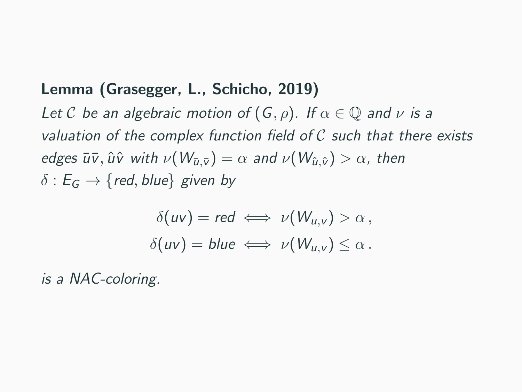#### Lemma (Grasegger, L., Schicho, 2019)

Let C be an algebraic motion of  $(G, \rho)$ . If  $\alpha \in \mathbb{Q}$  and  $\nu$  is a valuation of the complex function field of  $C$  such that there exists edges  $\bar{u}\bar{v}$ ,  $\hat{u}\hat{v}$  with  $\nu(W_{\bar{u},\bar{v}}) = \alpha$  and  $\nu(W_{\hat{u},\hat{v}}) > \alpha$ , then  $\delta$  :  $E_G \rightarrow \{red, blue\}$  given by

$$
\delta(uv) = red \iff \nu(W_{u,v}) > \alpha,
$$
  

$$
\delta(uv) = blue \iff \nu(W_{u,v}) \leq \alpha.
$$

is a NAC-coloring.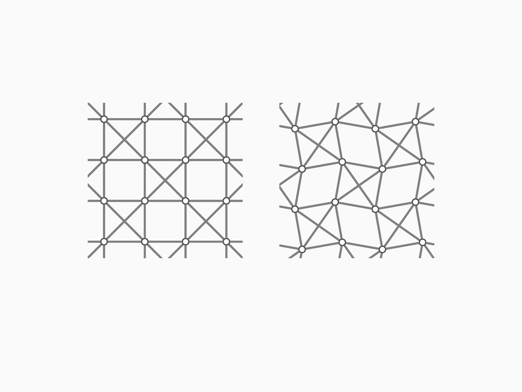

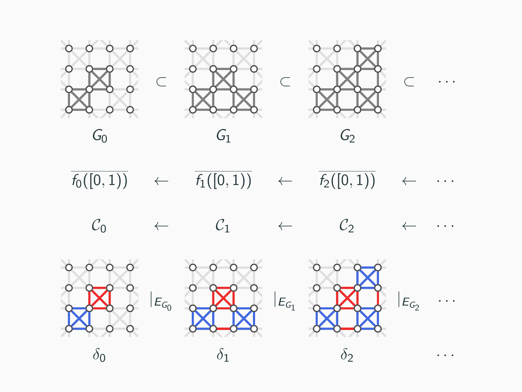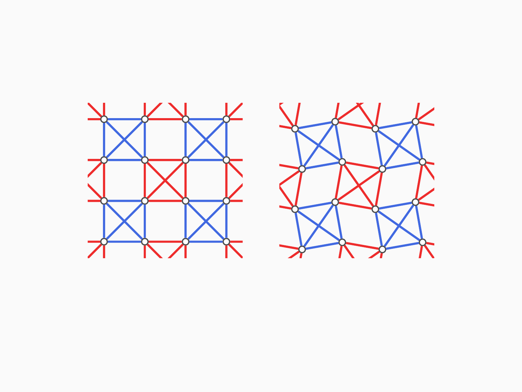

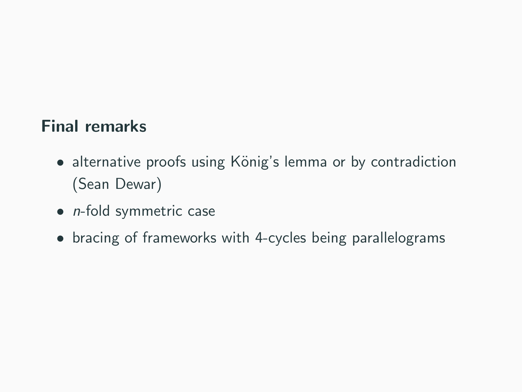### Final remarks

- alternative proofs using König's lemma or by contradiction (Sean Dewar)
- *n*-fold symmetric case
- bracing of frameworks with 4-cycles being parallelograms